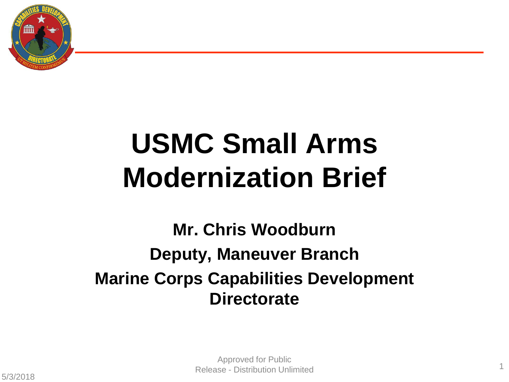

# **USMC Small Arms Modernization Brief**

**Mr. Chris Woodburn Deputy, Maneuver Branch Marine Corps Capabilities Development Directorate**

1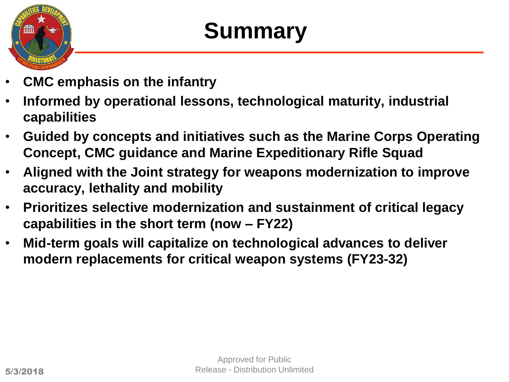

## **Summary**

- **CMC emphasis on the infantry**
- **Informed by operational lessons, technological maturity, industrial capabilities**
- **Guided by concepts and initiatives such as the Marine Corps Operating Concept, CMC guidance and Marine Expeditionary Rifle Squad**
- **Aligned with the Joint strategy for weapons modernization to improve accuracy, lethality and mobility**
- **Prioritizes selective modernization and sustainment of critical legacy capabilities in the short term (now – FY22)**
- **Mid-term goals will capitalize on technological advances to deliver modern replacements for critical weapon systems (FY23-32)**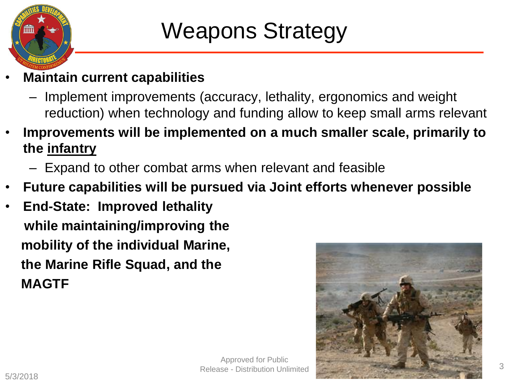

### Weapons Strategy

- **Maintain current capabilities**
	- Implement improvements (accuracy, lethality, ergonomics and weight reduction) when technology and funding allow to keep small arms relevant
- **Improvements will be implemented on a much smaller scale, primarily to the infantry** 
	- Expand to other combat arms when relevant and feasible
- **Future capabilities will be pursued via Joint efforts whenever possible**
- **End-State: Improved lethality while maintaining/improving the mobility of the individual Marine, the Marine Rifle Squad, and the MAGTF**

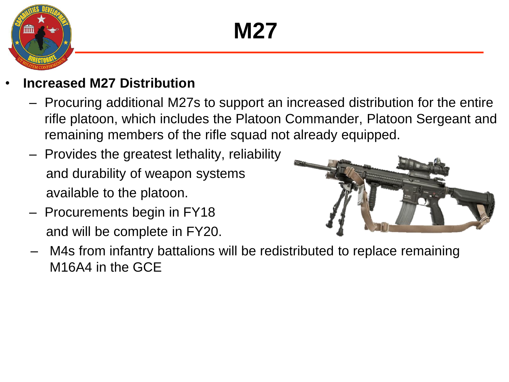## **M27**



- **Increased M27 Distribution**
	- Procuring additional M27s to support an increased distribution for the entire rifle platoon, which includes the Platoon Commander, Platoon Sergeant and remaining members of the rifle squad not already equipped.
	- Provides the greatest lethality, reliability and durability of weapon systems available to the platoon.
	- Procurements begin in FY18 and will be complete in FY20.



– M4s from infantry battalions will be redistributed to replace remaining M16A4 in the GCE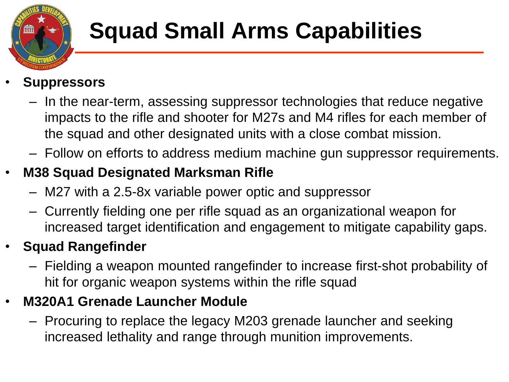

# **Squad Small Arms Capabilities**

#### • **Suppressors**

- In the near-term, assessing suppressor technologies that reduce negative impacts to the rifle and shooter for M27s and M4 rifles for each member of the squad and other designated units with a close combat mission.
- Follow on efforts to address medium machine gun suppressor requirements.

#### • **M38 Squad Designated Marksman Rifle**

- M27 with a 2.5-8x variable power optic and suppressor
- Currently fielding one per rifle squad as an organizational weapon for increased target identification and engagement to mitigate capability gaps.

#### • **Squad Rangefinder**

– Fielding a weapon mounted rangefinder to increase first-shot probability of hit for organic weapon systems within the rifle squad

#### • **M320A1 Grenade Launcher Module**

– Procuring to replace the legacy M203 grenade launcher and seeking increased lethality and range through munition improvements.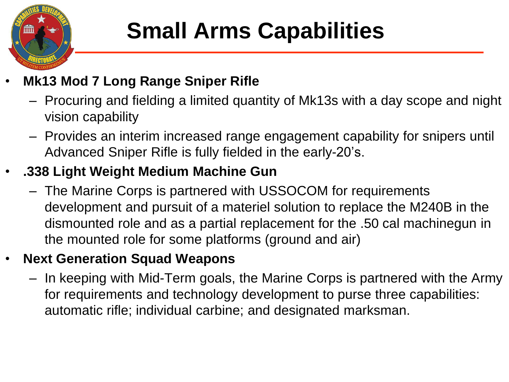

# **Small Arms Capabilities**

#### • **Mk13 Mod 7 Long Range Sniper Rifle**

- Procuring and fielding a limited quantity of Mk13s with a day scope and night vision capability
- Provides an interim increased range engagement capability for snipers until Advanced Sniper Rifle is fully fielded in the early-20's.

#### • **.338 Light Weight Medium Machine Gun**

– The Marine Corps is partnered with USSOCOM for requirements development and pursuit of a materiel solution to replace the M240B in the dismounted role and as a partial replacement for the .50 cal machinegun in the mounted role for some platforms (ground and air)

#### • **Next Generation Squad Weapons**

– In keeping with Mid-Term goals, the Marine Corps is partnered with the Army for requirements and technology development to purse three capabilities: automatic rifle; individual carbine; and designated marksman.